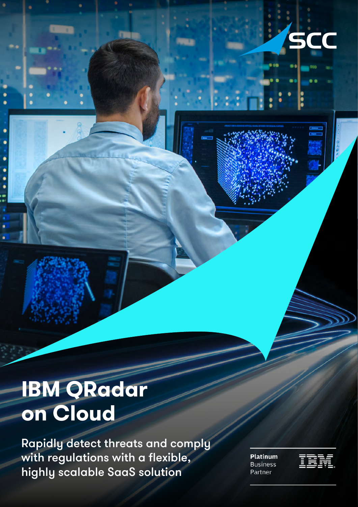

# **IBM QRadar on Cloud**

Rapidly detect threats and comply with regulations with a flexible, highly scalable SaaS solution

**Platinum Business** Partner

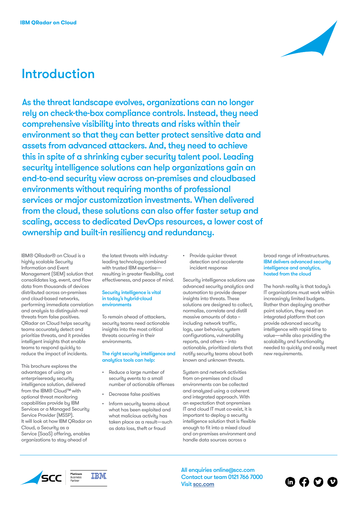## Introduction

As the threat landscape evolves, organizations can no longer rely on check-the-box compliance controls. Instead, they need comprehensive visibility into threats and risks within their environment so that they can better protect sensitive data and assets from advanced attackers. And, they need to achieve this in spite of a shrinking cyber security talent pool. Leading security intelligence solutions can help organizations gain an end-to-end security view across on-premises and cloudbased environments without requiring months of professional services or major customization investments. When delivered from the cloud, these solutions can also offer faster setup and scaling, access to dedicated DevOps resources, a lower cost of ownership and built-in resiliency and redundancy.

IBM® QRadar® on Cloud is a highly scalable Security Information and Event Management (SIEM) solution that consolidates log, event, and flow data from thousands of devices distributed across on-premises and cloud-based networks, performing immediate correlation and analysis to distinguish real threats from false positives. QRadar on Cloud helps security teams accurately detect and prioritize threats, and it provides intelligent insights that enable teams to respond quickly to reduce the impact of incidents.

This brochure explores the advantages of using an enterpriseready security intelligence solution, delivered from the IBM® Cloud™ with optional threat monitoring capabilities provide by IBM Services or a Managed Security Service Provider (MSSP). It will look at how IBM QRadar on Cloud, a Security as a Service (SaaS) offering, enables organizations to stay ahead of

the latest threats with industryleading technology combined with trusted IBM expertise resulting in greater flexibility, cost effectiveness, and peace of mind.

#### Security intelligence is vital in today's hybrid-cloud environments

To remain ahead of attackers, security teams need actionable insights into the most critical threats occurring in their environments.

### The right security intelligence and analytics tools can help:

- Reduce a large number of security events to a small number of actionable offenses
- Decrease false positives
- Inform security teams about what has been exploited and what malicious activity has taken place as a result—such as data loss, theft or fraud

• Provide quicker threat detection and accelerate incident response

Security intelligence solutions use advanced security analytics and automation to provide deeper insights into threats. These solutions are designed to collect, normalize, correlate and distill massive amounts of data – including network traffic, logs, user behavior, system configurations, vulnerability reports, and others – into actionable, prioritized alerts that notify security teams about both known and unknown threats.

System and network activities from on-premises and cloud environments can be collected and analyzed using a coherent and integrated approach. With an expectation that onpremises IT and cloud IT must co-exist, it is important to deploy a security intelligence solution that is flexible enough to fit into a mixed cloud and on-premises environment and handle data sources across a

#### broad range of infrastructures. IBM delivers advanced security intelligence and analytics, hosted from the cloud

The harsh reality is that today's IT organizations must work within increasingly limited budgets. Rather than deploying another point solution, they need an integrated platform that can provide advanced security intelligence with rapid time to value—while also providing the scalability and functionality needed to quickly and easily meet new requirements.

6000





All enquiries online@scc.com Contact our team 0121 766 7000 Visit [scc.com](https://www.scc.com)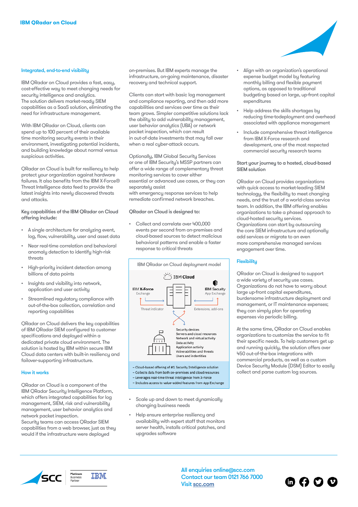#### Integrated, end-to-end visibility

IBM QRadar on Cloud provides a fast, easy, cost-effective way to meet changing needs for security intelligence and analytics. The solution delivers market-ready SIEM capabilities as a SaaS solution, eliminating the need for infrastructure management.

With IBM ORadar on Cloud, clients can spend up to 100 percent of their available time monitoring security events in their environment, investigating potential incidents, and building knowledge about normal versus suspicious activities.

QRadar on Cloud is built for resiliency to help protect your organization against hardware failures. It also benefits from the IBM X-Force® Threat Intelligence data feed to provide the latest insights into newly discovered threats and attacks.

Key capabilities of the IBM QRadar on Cloud offering include:

- A single architecture for analyzing event, log, flow, vulnerability, user and asset data
- Near real-time correlation and behavioral anomaly detection to identify high-risk threats
- High-priority incident detection among billions of data points
- Insights and visibility into network, application and user activity
- Streamlined regulatory compliance with out-of-the-box collection, correlation and reporting capabilities

QRadar on Cloud delivers the key capabilities of IBM QRadar SIEM configured to customer specifications and deployed within a dedicated private cloud environment. The solution is hosted by IBM within secure IBM Cloud data centers with built-in resiliency and failover-supporting infrastructure.

#### How it works

QRadar on Cloud is a component of the IBM QRadar Security Intelligence Platform, which offers integrated capabilities for log management, SIEM, risk and vulnerability management, user behavior analytics and network packet inspection.

Security teams can access QRadar SIEM capabilities from a web browser, just as they would if the infrastructure were deployed

on-premises. But IBM experts manage the infrastructure, on-going maintenance, disaster recovery and technical support.

Clients can start with basic log management and compliance reporting, and then add more capabilities and services over time as their team grows. Simpler competitive solutions lack the ability to add vulnerability management, user behavior analytics (UBA) or network packet inspection, which can result in out-of-date investments that may fall over when a real cyber-attack occurs.

Optionally, IBM Global Security Services or one of IBM Security's MSSP partners can offer a wide range of complementary threat monitoring services to cover either essential or advanced use cases, or they can separately assist with emergency response services to help remediate confirmed network breaches.

QRadar on Cloud is designed to:

• Collect and correlate over 400,000 events per second from on-premises and cloud-based sources to detect malicious behavioral patterns and enable a faster response to critical threats



- Collects data from both on-premises and cloud resources - Leverages real-time threat intelligence from X-Force - Includes access to value-added features from App Exchange

- Scale up and down to meet dunamically changing business needs
- Help ensure enterprise resiliency and availability with expert staff that monitors server health, installs critical patches, and upgrades software
- Align with an organization's operational expense budget model by featuring monthly billing and flexible payment options, as opposed to traditional budgeting based on large, up-front capital expenditures
- Help address the skills shortages by reducing time-todeployment and overhead associated with appliance management
- Include comprehensive threat intelligence from IBM X-Force research and development, one of the most respected commercial security research teams

#### Start your journey to a hosted, cloud-based SIEM solution

QRadar on Cloud provides organizations with quick access to market-leading SIEM technology, the flexibility to meet changing needs, and the trust of a world-class service team. In addition, the IBM offering enables organizations to take a phased approach to cloud-hosted security services. Organizations can start by outsourcing the core SIEM infrastructure and optionally add services or migrate to an even more comprehensive managed services engagement over time.

#### **Flexibility**

QRadar on Cloud is designed to support a wide variety of security use cases. Organizations do not have to worry about large up-front capital expenditures, burdensome infrastructure deployment and management, or IT maintenance expenses; they can simply plan for operating expenses via periodic billing.

At the same time, QRadar on Cloud enables organizations to customize the service to fit their specific needs. To help customers get up and running quickly, the solution offers over 450 out-of-the-box integrations with commercial products, as well as a custom Device Security Module (DSM) Editor to easily collect and parse custom log sources.



TRM

All enquiries online@scc.com Contact our team 0121 766 7000 Visit [scc.com](https://www.scc.com)